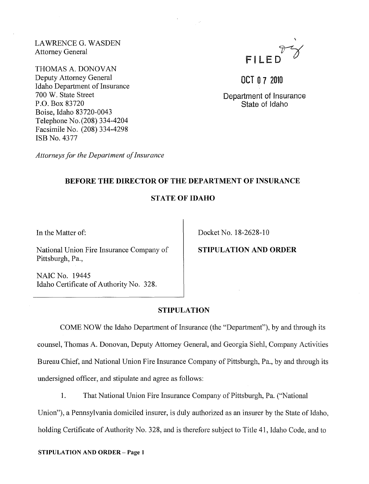LA WRENCE G. WASDEN Attorney General

THOMAS A. DONOVAN Deputy Attorney General Idaho Department of Insurance 700 W. State Street p.o. Box 83720 Boise, Idaho 83720-0043 Telephone No. (208) 334-4204 Facsimile No. (208) 334-4298 ISB No. 4377

FILE

OCT 07 2010

Department of Insurance State of Idaho

*Attorneys for the Department of Insurance* 

## BEFORE THE DIRECTOR OF THE DEPARTMENT OF INSURANCE

### STATE OF IDAHO

In the Matter of:

National Union Fire Insurance Company of Pittsburgh, Pa.,

NAIC No. 19445 Idaho Certificate of Authority No. 328. Docket No. 18-2628-10

# STIPULATION AND ORDER

### STIPULATION

COME NOW the Idaho Department of Insurance (the "Department"), by and through its counsel, Thomas A. Donovan, Deputy Attorney General, and Georgia Siehl, Company Activities Bureau Chief, and National Union Fire Insurance Company of Pittsburgh, Pa., by and through its undersigned officer, and stipulate and agree as follows:

1. That National Union Fire Insurance Company of Pittsburgh, Pa. ("National

Union"), a Pennsylvania domiciled insurer, is duly authorized as an insurer by the State of Idaho, holding Certificate of Authority No. 328, and is therefore subject to Title 41, Idaho Code, and to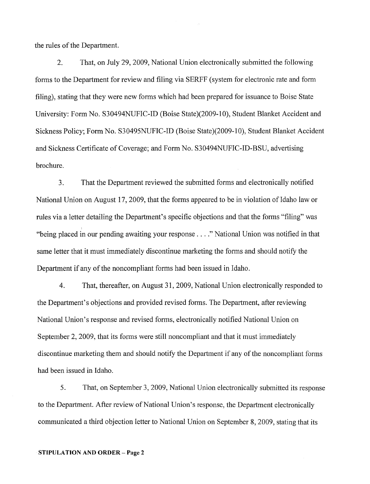the rules of the Department.

2. That, on July 29, 2009, National Union electronically submitted the following forms to the Department for review and filing via SERFF (system for electronic rate and form filing), stating that they were new forms which had been prepared for issuance to Boise State University: Form No. S30494NUFIC-ID (Boise State)(2009-10), Student Blanket Accident and Sickness Policy; Form No. S3049SNUFIC-ID (Boise State)(2009-10), Student Blanket Accident and Sickness Certificate of Coverage; and Form No. S30494NUFIC-ID-BSU, advertising brochure.

3. That the Department reviewed the submitted forms and electronically notified National Union on August 17, 2009, that the forms appeared to be in violation of Idaho law or rules via a letter detailing the Department's specific objections and that the forms "filing" was "being placed in our pending awaiting your response .... " National Union was notified in that same letter that it must immediately discontinue marketing the forms and should notify the Department if any of the noncompliant forms had been issued in Idaho.

4. That, thereafter, on August 31, 2009, National Union electronically responded to the Department's objections and provided revised forms. The Department, after reviewing National Union's response and revised forms, electronically notified National Union on September 2, 2009, that its forms were still noncompliant and that it must immediately discontinue marketing them and should notify the Department if any of the noncompliant forms had been issued in Idaho.

*5.* That, on September 3,2009, National Union electronically submitted its response to the Department. After review of National Union's response, the Department electronically communicated a third objection letter to National Union on September 8,2009, stating that its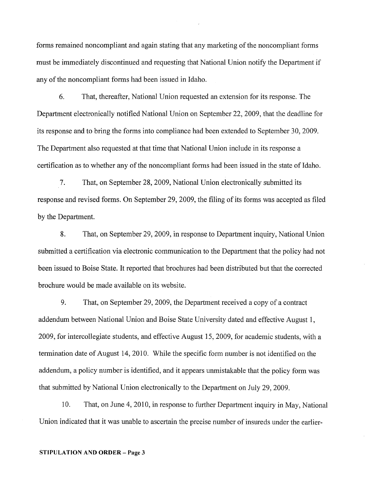forms remained noncompliant and again stating that any marketing of the noncompliant forms must be immediately discontinued and requesting that National Union notify the Department if any of the noncompliant forms had been issued in Idaho.

6. That, thereafter, National Union requested an extension for its response. The Department electronically notified National Union on September 22,2009, that the deadline for its response and to bring the forms into compliance had been extended to September 30, 2009. The Department also requested at that time that National Union include in its response a certification as to whether any of the noncompliant fonns had been issued in the state of Idaho.

7. That, on September 28,2009, National Union electronically submitted its response and revised forms. On September 29, 2009, the filing of its forms was accepted as filed by the Department.

8. That, on September 29,2009, in response to Department inquiry, National Union submitted a certification via electronic communication to the Department that the policy had not been issued to Boise State. It reported that brochures had been distributed but that the corrected brochure would be made available on its website.

9. That, on September 29, 2009, the Department received a copy of a contract addendum between National Union and Boise State University dated and effective August 1, 2009, for intercollegiate students, and effective August 15,2009, for academic students, with a termination date of August 14,2010. While the specific form nwnber is not identified on the addendum, a policy number is identified, and it appears lmmistakable that the policy form was that submitted by National Union electronically to the Department on July 29, 2009.

10. That, on June 4, 2010, in response to further Department inquiry in May, National Union indicated that it was unable to ascertain the precise number of insureds under the earlier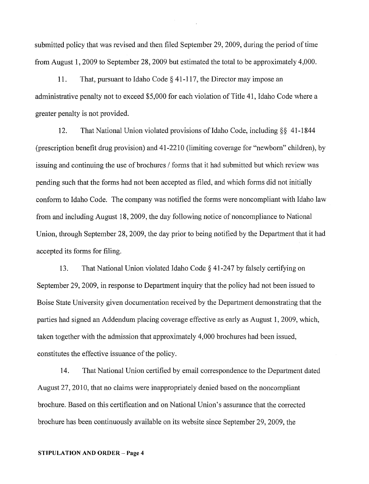submitted policy that was revised and then filed September 29,2009, during the period of time from August 1,2009 to September 28, 2009 but estimated the total to be approximately 4,000.

11. That, pursuant to Idaho Code § 41-117, the Director may impose an administrative penalty not to exceed \$5,000 for each violation of Title 41, Idaho Code where a greater penalty is not provided.

12. That National Union violated provisions of Idaho Code, including  $\S$ § 41-1844 (prescription benefit drug provision) and 41-2210 (limiting coverage for "newborn" children), by issuing and continuing the use of brochures / forms that it had submitted but which review was pending such that the forms had not been accepted as filed, and which forms did not initially conform to Idaho Code. The company was notified the forms were noncompliant with Idaho law from and including August 18,2009, the day following notice of noncompliance to National Union, through September 28, 2009, the day prior to being notified by the Depatiment that it had accepted its forms for filing.

13. That National Union violated Idaho Code § 41-247 by falsely certifying on September 29, 2009, in response to Department inquiry that the policy had not been issued to Boise State University given documentation received by the Depatiment demonstrating that the parties had signed an Addendum placing coverage effective as early as August 1,2009, which, taken together with the admission that approximately 4,000 brochures had been issued, constitutes the effective issuance of the policy.

14. That National Union certified by email correspondence to the Department dated August 27, 2010, that no claims were inappropriately denied based on the noncompliant brochure. Based on this certification and on National Union's assurance that the corrected brochure has been continuously available on its website since September 29,2009, the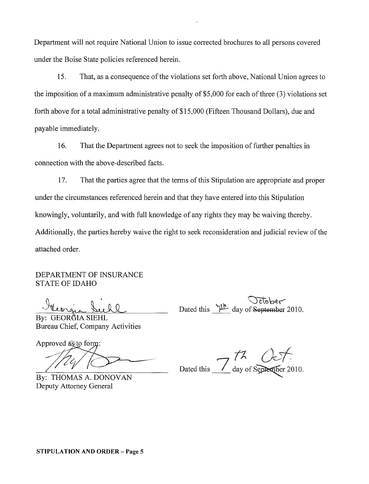Department will not require National Union to issue corrected brochures to all persons covered under the Boise State policies referenced herein.

15. That, as a consequence of the violations set forth above, National Union agrees to the imposition of a maximum administrative penalty of \$5,000 for each of three (3) violations set forth above for a total administrative penalty of \$15,000 (Fifteen Thousand Dollars), due and payable immediately.

16. That the Department agrees not to seek the imposition of further penalties in connection with the above-described facts.

17. That the parties agree that the terms of this Stipulation are appropriate and proper under the circumstances referenced herein and that they have entered into this Stipulation knowingly, voluntarily, and with full knowledge of any rights they may be waiving thereby. Additionally, the parties hereby waive the right to seek reconsideration and judicial review of the attached order.

DEPARTMENT OF INSURANCE STATE OF IDAHO

Alengia Sichl 0<br>Sichl

By: GEORĞIA SIEHL Bureau Chief, Company Activities

Approved as to form:

By: THOMAS A. DONOVAN Deputy Attorney General

Dated this  $\overrightarrow{1^{\text{th}}}$  day of September 2010.

 $7^{\prime\prime}$  Oct.

Dated this  $\frac{7}{\sqrt{2}}$  day of September 2010.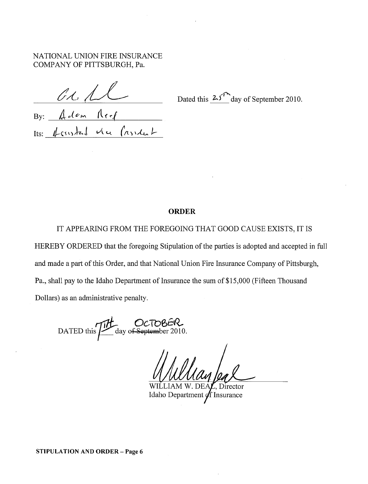NATIONAL UNION FIRE INSURANCE COMPANY OF PITTSBURGH, Pa.

By:  $\oint_{\mathcal{C}} d\mathcal{C}$ m  $\bigcap_{\mathcal{C}} f$ 

 $It$ s:  $\#$ csistat vie (asident

....... $\tau$ Dated this  $25^{\textcirc}$  day of September 2010.

#### ORDER

IT APPEARING FROM THE FOREGOING THAT GOOD CAUSE EXISTS, IT IS HEREBY ORDERED that the foregoing Stipulation of the parties is adopted and accepted in full and made a part of this Order, and that National Union Fire Insurance Company of Pittsburgh, Pa., shall pay to the Idaho Department of Insurance the sum of \$15,000 (Fifteen Thousand Dollars) as an administrative penalty.

DATED this Times day of September 2010.

Director WILLIAM W. DEA. Idaho Department  $\oint f$  Insurance